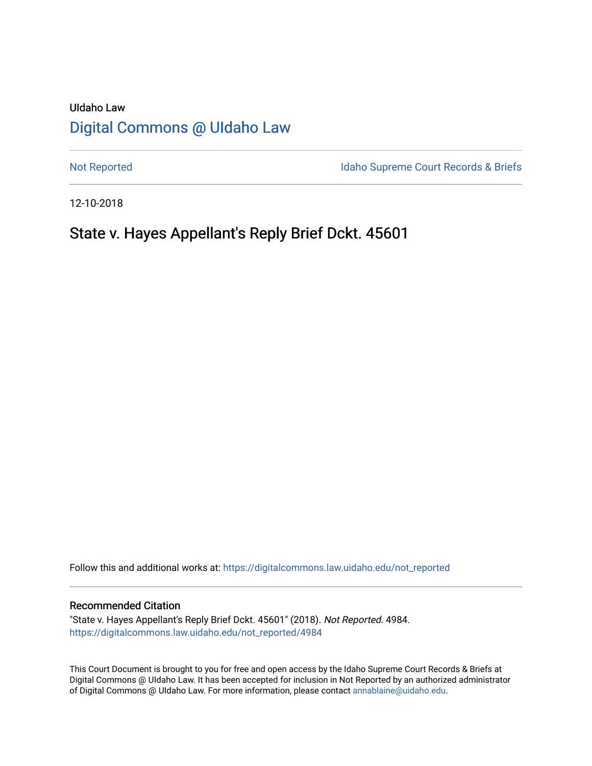# UIdaho Law [Digital Commons @ UIdaho Law](https://digitalcommons.law.uidaho.edu/)

[Not Reported](https://digitalcommons.law.uidaho.edu/not_reported) **Idaho Supreme Court Records & Briefs** 

12-10-2018

# State v. Hayes Appellant's Reply Brief Dckt. 45601

Follow this and additional works at: [https://digitalcommons.law.uidaho.edu/not\\_reported](https://digitalcommons.law.uidaho.edu/not_reported?utm_source=digitalcommons.law.uidaho.edu%2Fnot_reported%2F4984&utm_medium=PDF&utm_campaign=PDFCoverPages) 

#### Recommended Citation

"State v. Hayes Appellant's Reply Brief Dckt. 45601" (2018). Not Reported. 4984. [https://digitalcommons.law.uidaho.edu/not\\_reported/4984](https://digitalcommons.law.uidaho.edu/not_reported/4984?utm_source=digitalcommons.law.uidaho.edu%2Fnot_reported%2F4984&utm_medium=PDF&utm_campaign=PDFCoverPages)

This Court Document is brought to you for free and open access by the Idaho Supreme Court Records & Briefs at Digital Commons @ UIdaho Law. It has been accepted for inclusion in Not Reported by an authorized administrator of Digital Commons @ UIdaho Law. For more information, please contact [annablaine@uidaho.edu](mailto:annablaine@uidaho.edu).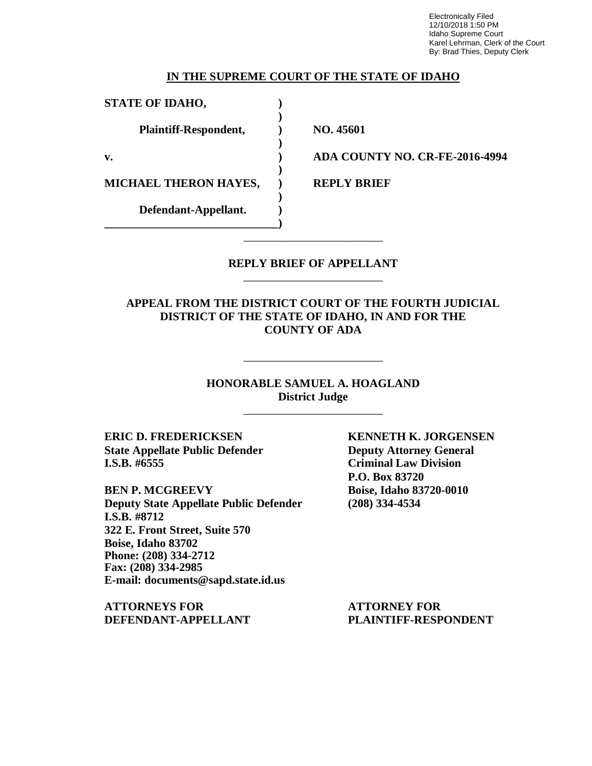Electronically Filed 12/10/2018 1:50 PM Idaho Supreme Court Karel Lehrman, Clerk of the Court By: Brad Thies, Deputy Clerk

### **IN THE SUPREME COURT OF THE STATE OF IDAHO**

**)**

**)**

**)**

**)**

**STATE OF IDAHO, )**

**Plaintiff-Respondent, ) NO. 45601**

**MICHAEL THERON HAYES, ) REPLY BRIEF** 

**Defendant-Appellant. ) \_\_\_\_\_\_\_\_\_\_\_\_\_\_\_\_\_\_\_\_\_\_\_\_\_\_\_\_\_\_)**

**v. ) ADA COUNTY NO. CR-FE-2016-4994**

## **REPLY BRIEF OF APPELLANT** \_\_\_\_\_\_\_\_\_\_\_\_\_\_\_\_\_\_\_\_\_\_\_\_

\_\_\_\_\_\_\_\_\_\_\_\_\_\_\_\_\_\_\_\_\_\_\_\_

**APPEAL FROM THE DISTRICT COURT OF THE FOURTH JUDICIAL DISTRICT OF THE STATE OF IDAHO, IN AND FOR THE COUNTY OF ADA**

> **HONORABLE SAMUEL A. HOAGLAND District Judge**

> > \_\_\_\_\_\_\_\_\_\_\_\_\_\_\_\_\_\_\_\_\_\_\_\_

\_\_\_\_\_\_\_\_\_\_\_\_\_\_\_\_\_\_\_\_\_\_\_\_

**ERIC D. FREDERICKSEN KENNETH K. JORGENSEN State Appellate Public Defender Deputy Attorney General I.S.B. #6555 Criminal Law Division**

**BEN P. MCGREEVY Boise, Idaho 83720-0010 Deputy State Appellate Public Defender (208) 334-4534 I.S.B. #8712 322 E. Front Street, Suite 570 Boise, Idaho 83702 Phone: (208) 334-2712 Fax: (208) 334-2985 E-mail: documents@sapd.state.id.us**

**ATTORNEYS FOR ATTORNEY FOR DEFENDANT-APPELLANT PLAINTIFF-RESPONDENT**

**P.O. Box 83720**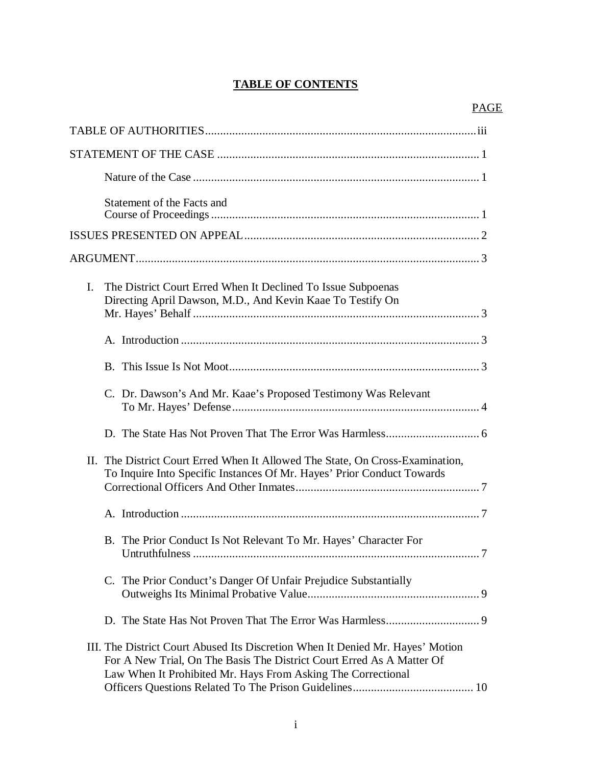# **TABLE OF CONTENTS**

|                | Statement of the Facts and                                                                                                                                                                                              |
|----------------|-------------------------------------------------------------------------------------------------------------------------------------------------------------------------------------------------------------------------|
|                |                                                                                                                                                                                                                         |
|                |                                                                                                                                                                                                                         |
| $\mathbf{I}$ . | The District Court Erred When It Declined To Issue Subpoenas<br>Directing April Dawson, M.D., And Kevin Kaae To Testify On                                                                                              |
|                |                                                                                                                                                                                                                         |
|                |                                                                                                                                                                                                                         |
|                | C. Dr. Dawson's And Mr. Kaae's Proposed Testimony Was Relevant                                                                                                                                                          |
|                |                                                                                                                                                                                                                         |
|                | II. The District Court Erred When It Allowed The State, On Cross-Examination,<br>To Inquire Into Specific Instances Of Mr. Hayes' Prior Conduct Towards                                                                 |
|                |                                                                                                                                                                                                                         |
|                | B. The Prior Conduct Is Not Relevant To Mr. Hayes' Character For<br>$\tau$                                                                                                                                              |
|                | C. The Prior Conduct's Danger Of Unfair Prejudice Substantially                                                                                                                                                         |
|                |                                                                                                                                                                                                                         |
|                | III. The District Court Abused Its Discretion When It Denied Mr. Hayes' Motion<br>For A New Trial, On The Basis The District Court Erred As A Matter Of<br>Law When It Prohibited Mr. Hays From Asking The Correctional |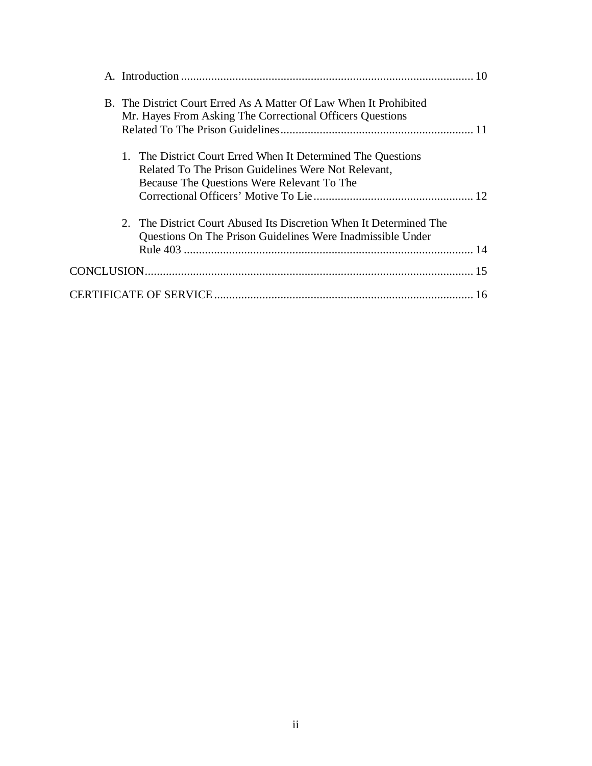|                                                                                                                                                                   | 10 |
|-------------------------------------------------------------------------------------------------------------------------------------------------------------------|----|
| B. The District Court Erred As A Matter Of Law When It Prohibited<br>Mr. Hayes From Asking The Correctional Officers Questions                                    |    |
| 1. The District Court Erred When It Determined The Questions<br>Related To The Prison Guidelines Were Not Relevant,<br>Because The Questions Were Relevant To The |    |
| 2. The District Court Abused Its Discretion When It Determined The<br>Questions On The Prison Guidelines Were Inadmissible Under                                  |    |
|                                                                                                                                                                   |    |
|                                                                                                                                                                   |    |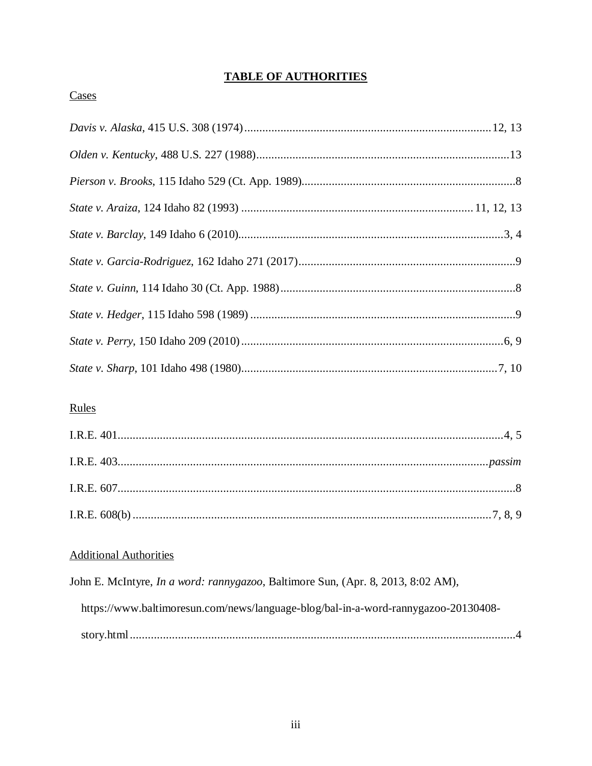# **TABLE OF AUTHORITIES**

# Cases

# Rules

# **Additional Authorities**

John E. McIntyre, In a word: rannygazoo, Baltimore Sun, (Apr. 8, 2013, 8:02 AM), https://www.baltimoresun.com/news/language-blog/bal-in-a-word-rannygazoo-20130408-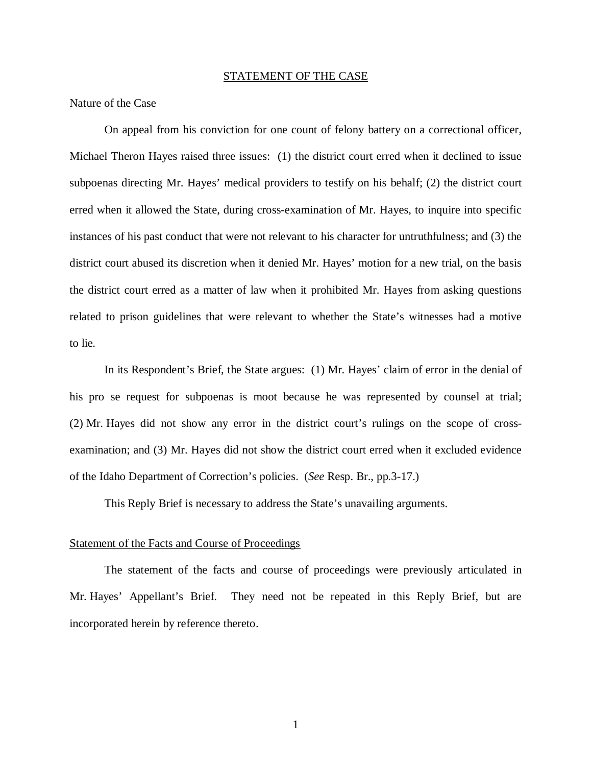#### STATEMENT OF THE CASE

#### Nature of the Case

On appeal from his conviction for one count of felony battery on a correctional officer, Michael Theron Hayes raised three issues: (1) the district court erred when it declined to issue subpoenas directing Mr. Hayes' medical providers to testify on his behalf; (2) the district court erred when it allowed the State, during cross-examination of Mr. Hayes, to inquire into specific instances of his past conduct that were not relevant to his character for untruthfulness; and (3) the district court abused its discretion when it denied Mr. Hayes' motion for a new trial, on the basis the district court erred as a matter of law when it prohibited Mr. Hayes from asking questions related to prison guidelines that were relevant to whether the State's witnesses had a motive to lie.

In its Respondent's Brief, the State argues: (1) Mr. Hayes' claim of error in the denial of his pro se request for subpoenas is moot because he was represented by counsel at trial; (2) Mr. Hayes did not show any error in the district court's rulings on the scope of crossexamination; and (3) Mr. Hayes did not show the district court erred when it excluded evidence of the Idaho Department of Correction's policies. (*See* Resp. Br., pp.3-17.)

This Reply Brief is necessary to address the State's unavailing arguments.

#### Statement of the Facts and Course of Proceedings

The statement of the facts and course of proceedings were previously articulated in Mr. Hayes' Appellant's Brief. They need not be repeated in this Reply Brief, but are incorporated herein by reference thereto.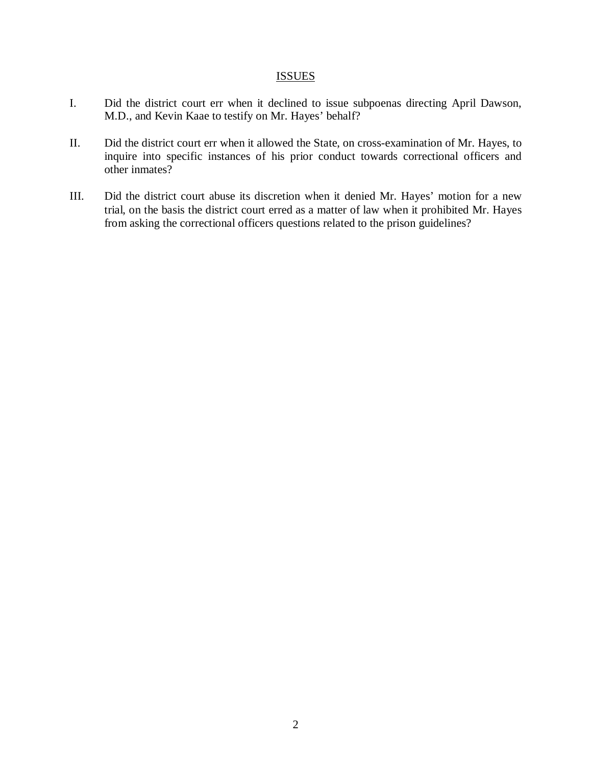## **ISSUES**

- I. Did the district court err when it declined to issue subpoenas directing April Dawson, M.D., and Kevin Kaae to testify on Mr. Hayes' behalf?
- II. Did the district court err when it allowed the State, on cross-examination of Mr. Hayes, to inquire into specific instances of his prior conduct towards correctional officers and other inmates?
- III. Did the district court abuse its discretion when it denied Mr. Hayes' motion for a new trial, on the basis the district court erred as a matter of law when it prohibited Mr. Hayes from asking the correctional officers questions related to the prison guidelines?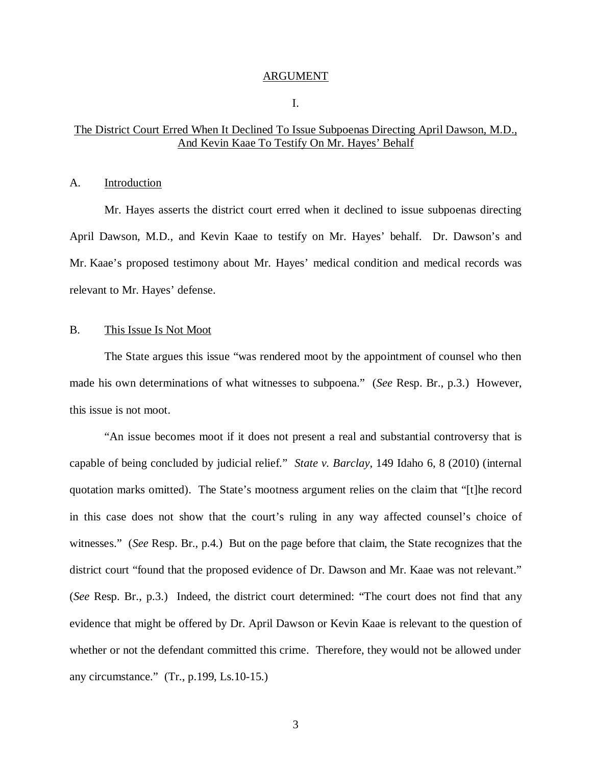#### ARGUMENT

I.

## The District Court Erred When It Declined To Issue Subpoenas Directing April Dawson, M.D., And Kevin Kaae To Testify On Mr. Hayes' Behalf

#### A. Introduction

Mr. Hayes asserts the district court erred when it declined to issue subpoenas directing April Dawson, M.D., and Kevin Kaae to testify on Mr. Hayes' behalf. Dr. Dawson's and Mr. Kaae's proposed testimony about Mr. Hayes' medical condition and medical records was relevant to Mr. Hayes' defense.

## B. This Issue Is Not Moot

The State argues this issue "was rendered moot by the appointment of counsel who then made his own determinations of what witnesses to subpoena." (*See* Resp. Br., p.3.) However, this issue is not moot.

"An issue becomes moot if it does not present a real and substantial controversy that is capable of being concluded by judicial relief." *State v. Barclay*, 149 Idaho 6, 8 (2010) (internal quotation marks omitted). The State's mootness argument relies on the claim that "[t]he record in this case does not show that the court's ruling in any way affected counsel's choice of witnesses." (*See* Resp. Br., p.4.) But on the page before that claim, the State recognizes that the district court "found that the proposed evidence of Dr. Dawson and Mr. Kaae was not relevant." (*See* Resp. Br., p.3.) Indeed, the district court determined: "The court does not find that any evidence that might be offered by Dr. April Dawson or Kevin Kaae is relevant to the question of whether or not the defendant committed this crime. Therefore, they would not be allowed under any circumstance." (Tr., p.199, Ls.10-15.)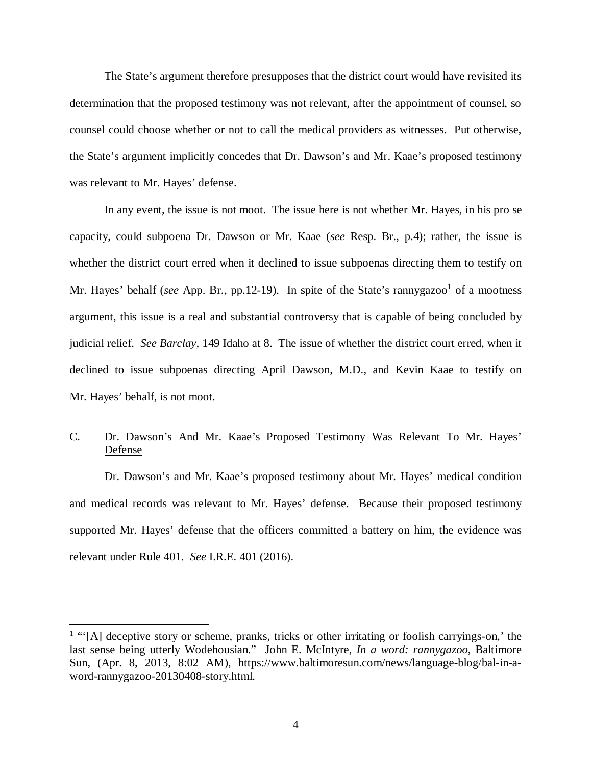The State's argument therefore presupposes that the district court would have revisited its determination that the proposed testimony was not relevant, after the appointment of counsel, so counsel could choose whether or not to call the medical providers as witnesses. Put otherwise, the State's argument implicitly concedes that Dr. Dawson's and Mr. Kaae's proposed testimony was relevant to Mr. Hayes' defense.

In any event, the issue is not moot. The issue here is not whether Mr. Hayes, in his pro se capacity, could subpoena Dr. Dawson or Mr. Kaae (*see* Resp. Br., p.4); rather, the issue is whether the district court erred when it declined to issue subpoenas directing them to testify on Mr. Hayes' behalf (*see* App. Br., pp.[1](#page-8-0)2-19). In spite of the State's rannygazoo<sup>1</sup> of a mootness argument, this issue is a real and substantial controversy that is capable of being concluded by judicial relief. *See Barclay*, 149 Idaho at 8. The issue of whether the district court erred, when it declined to issue subpoenas directing April Dawson, M.D., and Kevin Kaae to testify on Mr. Hayes' behalf, is not moot.

# C. Dr. Dawson's And Mr. Kaae's Proposed Testimony Was Relevant To Mr. Hayes' Defense

Dr. Dawson's and Mr. Kaae's proposed testimony about Mr. Hayes' medical condition and medical records was relevant to Mr. Hayes' defense. Because their proposed testimony supported Mr. Hayes' defense that the officers committed a battery on him, the evidence was relevant under Rule 401. *See* I.R.E. 401 (2016).

<span id="page-8-0"></span> $<sup>1</sup>$  "[A] deceptive story or scheme, pranks, tricks or other irritating or foolish carryings-on,' the</sup> last sense being utterly Wodehousian." John E. McIntyre, *In a word: rannygazoo*, Baltimore Sun, (Apr. 8, 2013, 8:02 AM), https://www.baltimoresun.com/news/language-blog/bal-in-aword-rannygazoo-20130408-story.html.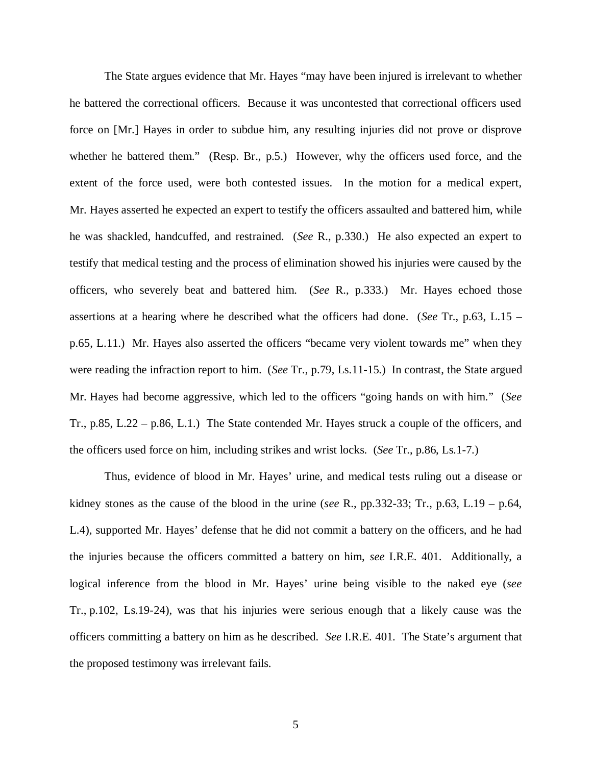The State argues evidence that Mr. Hayes "may have been injured is irrelevant to whether he battered the correctional officers. Because it was uncontested that correctional officers used force on [Mr.] Hayes in order to subdue him, any resulting injuries did not prove or disprove whether he battered them." (Resp. Br., p.5.) However, why the officers used force, and the extent of the force used, were both contested issues. In the motion for a medical expert, Mr. Hayes asserted he expected an expert to testify the officers assaulted and battered him, while he was shackled, handcuffed, and restrained. (*See* R., p.330.) He also expected an expert to testify that medical testing and the process of elimination showed his injuries were caused by the officers, who severely beat and battered him. (*See* R., p.333.) Mr. Hayes echoed those assertions at a hearing where he described what the officers had done. (*See* Tr., p.63, L.15 – p.65, L.11.) Mr. Hayes also asserted the officers "became very violent towards me" when they were reading the infraction report to him. (*See* Tr., p.79, Ls.11-15.) In contrast, the State argued Mr. Hayes had become aggressive, which led to the officers "going hands on with him." (*See* Tr., p.85, L.22 – p.86, L.1.) The State contended Mr. Hayes struck a couple of the officers, and the officers used force on him, including strikes and wrist locks. (*See* Tr., p.86, Ls.1-7.)

Thus, evidence of blood in Mr. Hayes' urine, and medical tests ruling out a disease or kidney stones as the cause of the blood in the urine (*see* R., pp.332-33; Tr., p.63, L.19 – p.64, L.4), supported Mr. Hayes' defense that he did not commit a battery on the officers, and he had the injuries because the officers committed a battery on him, *see* I.R.E. 401. Additionally, a logical inference from the blood in Mr. Hayes' urine being visible to the naked eye (*see* Tr., p.102, Ls.19-24), was that his injuries were serious enough that a likely cause was the officers committing a battery on him as he described. *See* I.R.E. 401. The State's argument that the proposed testimony was irrelevant fails.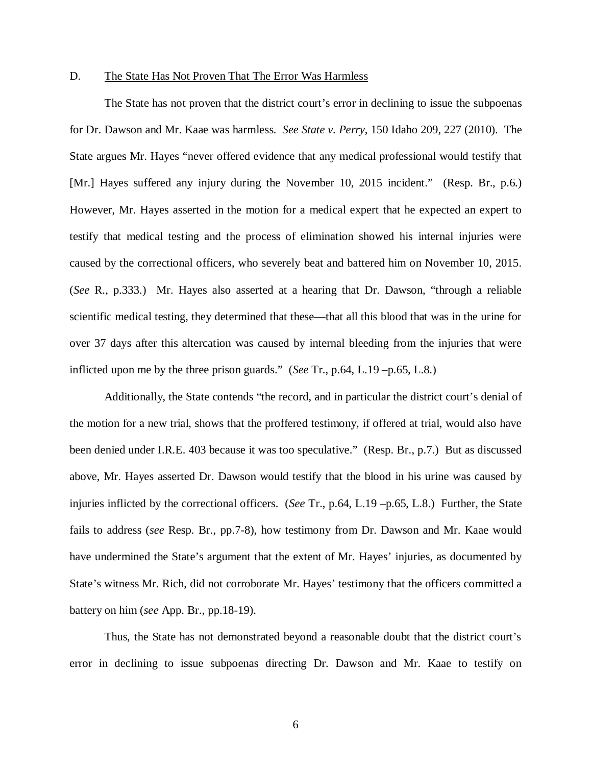#### D. The State Has Not Proven That The Error Was Harmless

The State has not proven that the district court's error in declining to issue the subpoenas for Dr. Dawson and Mr. Kaae was harmless. *See State v. Perry*, 150 Idaho 209, 227 (2010). The State argues Mr. Hayes "never offered evidence that any medical professional would testify that [Mr.] Hayes suffered any injury during the November 10, 2015 incident." (Resp. Br., p.6.) However, Mr. Hayes asserted in the motion for a medical expert that he expected an expert to testify that medical testing and the process of elimination showed his internal injuries were caused by the correctional officers, who severely beat and battered him on November 10, 2015. (*See* R., p.333.) Mr. Hayes also asserted at a hearing that Dr. Dawson, "through a reliable scientific medical testing, they determined that these—that all this blood that was in the urine for over 37 days after this altercation was caused by internal bleeding from the injuries that were inflicted upon me by the three prison guards." (*See* Tr., p.64, L.19 –p.65, L.8.)

Additionally, the State contends "the record, and in particular the district court's denial of the motion for a new trial, shows that the proffered testimony, if offered at trial, would also have been denied under I.R.E. 403 because it was too speculative." (Resp. Br., p.7.) But as discussed above, Mr. Hayes asserted Dr. Dawson would testify that the blood in his urine was caused by injuries inflicted by the correctional officers. (*See* Tr., p.64, L.19 –p.65, L.8.) Further, the State fails to address (*see* Resp. Br., pp.7-8), how testimony from Dr. Dawson and Mr. Kaae would have undermined the State's argument that the extent of Mr. Hayes' injuries, as documented by State's witness Mr. Rich, did not corroborate Mr. Hayes' testimony that the officers committed a battery on him (*see* App. Br., pp.18-19).

Thus, the State has not demonstrated beyond a reasonable doubt that the district court's error in declining to issue subpoenas directing Dr. Dawson and Mr. Kaae to testify on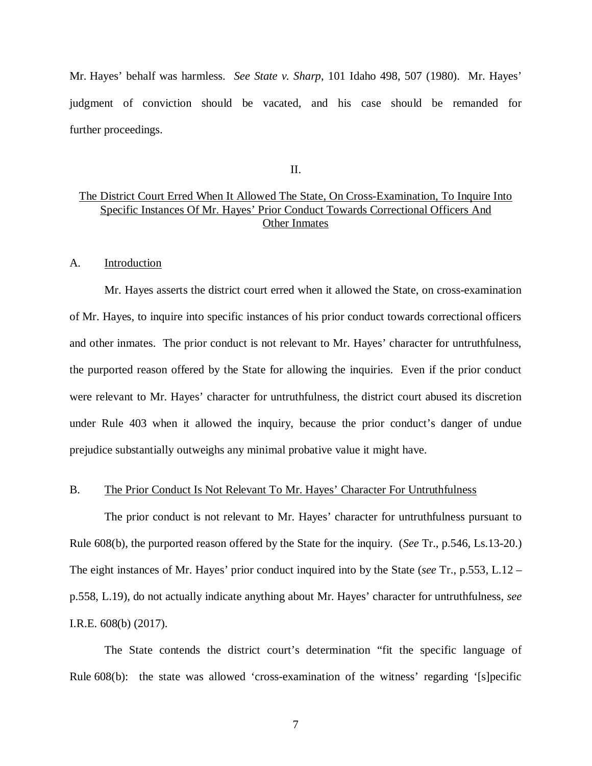Mr. Hayes' behalf was harmless. *See State v. Sharp*, 101 Idaho 498, 507 (1980). Mr. Hayes' judgment of conviction should be vacated, and his case should be remanded for further proceedings.

II.

## The District Court Erred When It Allowed The State, On Cross-Examination, To Inquire Into Specific Instances Of Mr. Hayes' Prior Conduct Towards Correctional Officers And Other Inmates

#### A. Introduction

Mr. Hayes asserts the district court erred when it allowed the State, on cross-examination of Mr. Hayes, to inquire into specific instances of his prior conduct towards correctional officers and other inmates. The prior conduct is not relevant to Mr. Hayes' character for untruthfulness, the purported reason offered by the State for allowing the inquiries. Even if the prior conduct were relevant to Mr. Hayes' character for untruthfulness, the district court abused its discretion under Rule 403 when it allowed the inquiry, because the prior conduct's danger of undue prejudice substantially outweighs any minimal probative value it might have.

### B. The Prior Conduct Is Not Relevant To Mr. Hayes' Character For Untruthfulness

The prior conduct is not relevant to Mr. Hayes' character for untruthfulness pursuant to Rule 608(b), the purported reason offered by the State for the inquiry. (*See* Tr., p.546, Ls.13-20.) The eight instances of Mr. Hayes' prior conduct inquired into by the State (*see* Tr., p.553, L.12 – p.558, L.19), do not actually indicate anything about Mr. Hayes' character for untruthfulness, *see* I.R.E. 608(b) (2017).

The State contends the district court's determination "fit the specific language of Rule 608(b): the state was allowed 'cross-examination of the witness' regarding '[s]pecific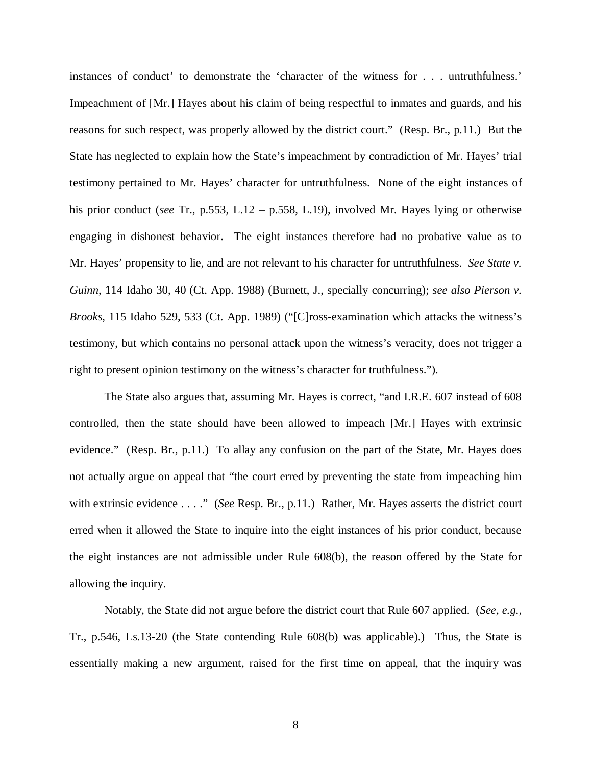instances of conduct' to demonstrate the 'character of the witness for . . . untruthfulness.' Impeachment of [Mr.] Hayes about his claim of being respectful to inmates and guards, and his reasons for such respect, was properly allowed by the district court." (Resp. Br., p.11.) But the State has neglected to explain how the State's impeachment by contradiction of Mr. Hayes' trial testimony pertained to Mr. Hayes' character for untruthfulness. None of the eight instances of his prior conduct (*see* Tr., p.553, L.12 – p.558, L.19), involved Mr. Hayes lying or otherwise engaging in dishonest behavior. The eight instances therefore had no probative value as to Mr. Hayes' propensity to lie, and are not relevant to his character for untruthfulness. *See State v. Guinn*, 114 Idaho 30, 40 (Ct. App. 1988) (Burnett, J., specially concurring); *see also Pierson v. Brooks*, 115 Idaho 529, 533 (Ct. App. 1989) ("[C]ross-examination which attacks the witness's testimony, but which contains no personal attack upon the witness's veracity, does not trigger a right to present opinion testimony on the witness's character for truthfulness.").

The State also argues that, assuming Mr. Hayes is correct, "and I.R.E. 607 instead of 608 controlled, then the state should have been allowed to impeach [Mr.] Hayes with extrinsic evidence." (Resp. Br., p.11.) To allay any confusion on the part of the State, Mr. Hayes does not actually argue on appeal that "the court erred by preventing the state from impeaching him with extrinsic evidence . . . ." (*See* Resp. Br., p.11.) Rather, Mr. Hayes asserts the district court erred when it allowed the State to inquire into the eight instances of his prior conduct, because the eight instances are not admissible under Rule 608(b), the reason offered by the State for allowing the inquiry.

Notably, the State did not argue before the district court that Rule 607 applied. (*See, e.g.*, Tr., p.546, Ls.13-20 (the State contending Rule 608(b) was applicable).) Thus, the State is essentially making a new argument, raised for the first time on appeal, that the inquiry was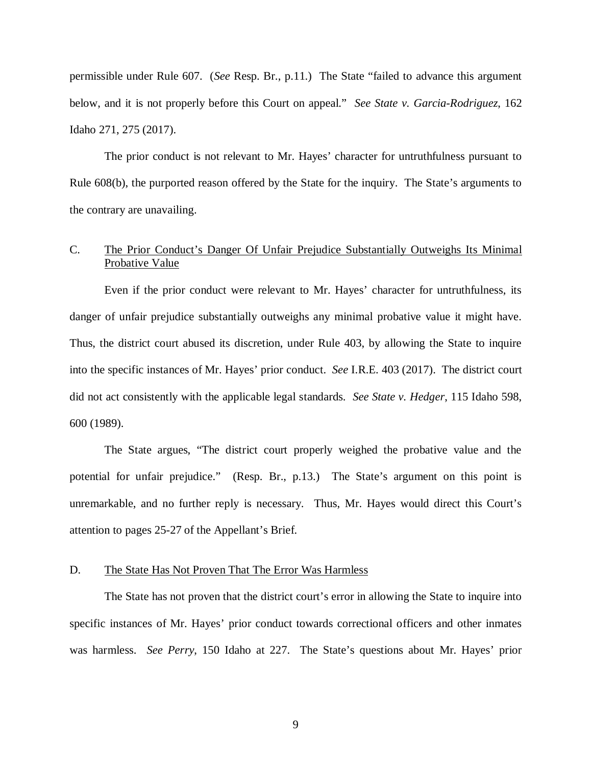permissible under Rule 607. (*See* Resp. Br., p.11.) The State "failed to advance this argument below, and it is not properly before this Court on appeal." *See State v. Garcia-Rodriguez*, 162 Idaho 271, 275 (2017).

The prior conduct is not relevant to Mr. Hayes' character for untruthfulness pursuant to Rule 608(b), the purported reason offered by the State for the inquiry. The State's arguments to the contrary are unavailing.

# C. The Prior Conduct's Danger Of Unfair Prejudice Substantially Outweighs Its Minimal Probative Value

Even if the prior conduct were relevant to Mr. Hayes' character for untruthfulness, its danger of unfair prejudice substantially outweighs any minimal probative value it might have. Thus, the district court abused its discretion, under Rule 403, by allowing the State to inquire into the specific instances of Mr. Hayes' prior conduct. *See* I.R.E. 403 (2017). The district court did not act consistently with the applicable legal standards. *See State v. Hedger*, 115 Idaho 598, 600 (1989).

The State argues, "The district court properly weighed the probative value and the potential for unfair prejudice." (Resp. Br., p.13.) The State's argument on this point is unremarkable, and no further reply is necessary. Thus, Mr. Hayes would direct this Court's attention to pages 25-27 of the Appellant's Brief.

#### D. The State Has Not Proven That The Error Was Harmless

The State has not proven that the district court's error in allowing the State to inquire into specific instances of Mr. Hayes' prior conduct towards correctional officers and other inmates was harmless. *See Perry*, 150 Idaho at 227. The State's questions about Mr. Hayes' prior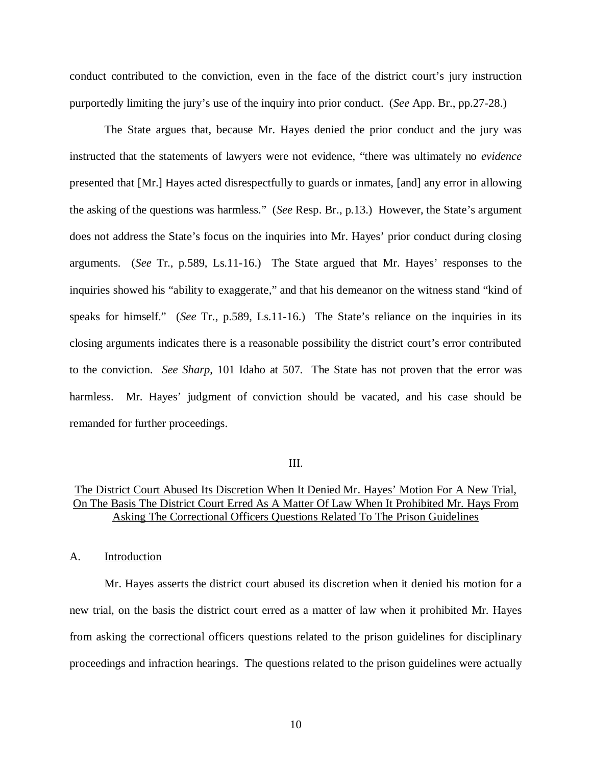conduct contributed to the conviction, even in the face of the district court's jury instruction purportedly limiting the jury's use of the inquiry into prior conduct. (*See* App. Br., pp.27-28.)

The State argues that, because Mr. Hayes denied the prior conduct and the jury was instructed that the statements of lawyers were not evidence, "there was ultimately no *evidence* presented that [Mr.] Hayes acted disrespectfully to guards or inmates, [and] any error in allowing the asking of the questions was harmless." (*See* Resp. Br., p.13.) However, the State's argument does not address the State's focus on the inquiries into Mr. Hayes' prior conduct during closing arguments. (*See* Tr., p.589, Ls.11-16.) The State argued that Mr. Hayes' responses to the inquiries showed his "ability to exaggerate," and that his demeanor on the witness stand "kind of speaks for himself." (*See* Tr., p.589, Ls.11-16.) The State's reliance on the inquiries in its closing arguments indicates there is a reasonable possibility the district court's error contributed to the conviction. *See Sharp*, 101 Idaho at 507. The State has not proven that the error was harmless. Mr. Hayes' judgment of conviction should be vacated, and his case should be remanded for further proceedings.

### III.

## The District Court Abused Its Discretion When It Denied Mr. Hayes' Motion For A New Trial, On The Basis The District Court Erred As A Matter Of Law When It Prohibited Mr. Hays From Asking The Correctional Officers Questions Related To The Prison Guidelines

A. Introduction

Mr. Hayes asserts the district court abused its discretion when it denied his motion for a new trial, on the basis the district court erred as a matter of law when it prohibited Mr. Hayes from asking the correctional officers questions related to the prison guidelines for disciplinary proceedings and infraction hearings. The questions related to the prison guidelines were actually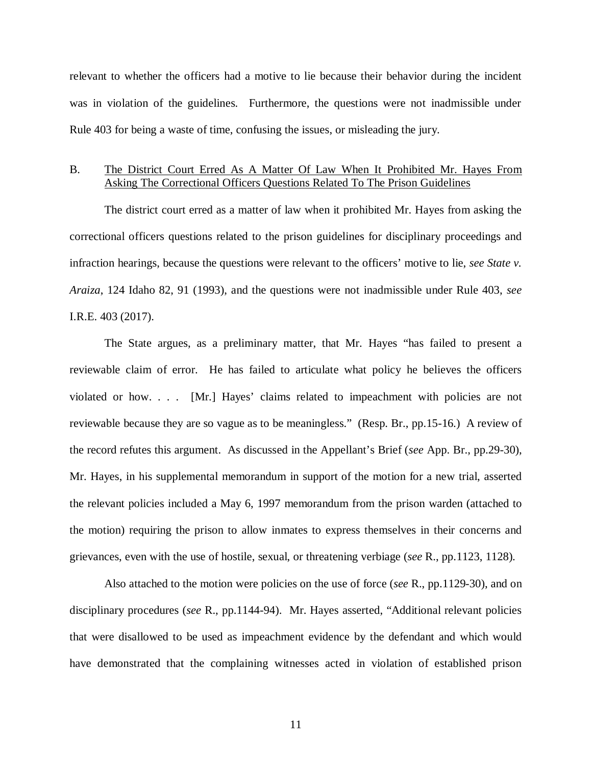relevant to whether the officers had a motive to lie because their behavior during the incident was in violation of the guidelines. Furthermore, the questions were not inadmissible under Rule 403 for being a waste of time, confusing the issues, or misleading the jury.

## B. The District Court Erred As A Matter Of Law When It Prohibited Mr. Hayes From Asking The Correctional Officers Questions Related To The Prison Guidelines

The district court erred as a matter of law when it prohibited Mr. Hayes from asking the correctional officers questions related to the prison guidelines for disciplinary proceedings and infraction hearings, because the questions were relevant to the officers' motive to lie, *see State v. Araiza*, 124 Idaho 82, 91 (1993), and the questions were not inadmissible under Rule 403, *see* I.R.E. 403 (2017).

The State argues, as a preliminary matter, that Mr. Hayes "has failed to present a reviewable claim of error. He has failed to articulate what policy he believes the officers violated or how. . . . [Mr.] Hayes' claims related to impeachment with policies are not reviewable because they are so vague as to be meaningless." (Resp. Br., pp.15-16.) A review of the record refutes this argument. As discussed in the Appellant's Brief (*see* App. Br., pp.29-30), Mr. Hayes, in his supplemental memorandum in support of the motion for a new trial, asserted the relevant policies included a May 6, 1997 memorandum from the prison warden (attached to the motion) requiring the prison to allow inmates to express themselves in their concerns and grievances, even with the use of hostile, sexual, or threatening verbiage (*see* R., pp.1123, 1128).

Also attached to the motion were policies on the use of force (*see* R., pp.1129-30), and on disciplinary procedures (*see* R., pp.1144-94). Mr. Hayes asserted, "Additional relevant policies that were disallowed to be used as impeachment evidence by the defendant and which would have demonstrated that the complaining witnesses acted in violation of established prison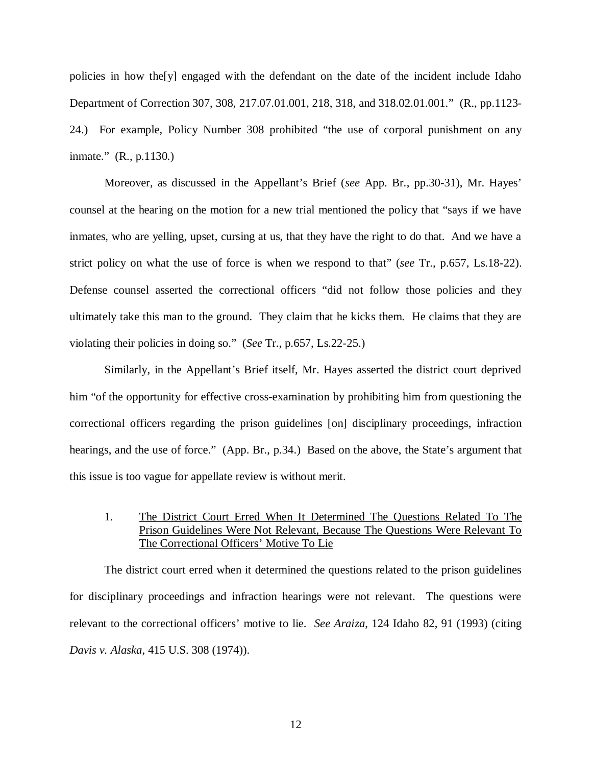policies in how the[y] engaged with the defendant on the date of the incident include Idaho Department of Correction 307, 308, 217.07.01.001, 218, 318, and 318.02.01.001." (R., pp.1123- 24.) For example, Policy Number 308 prohibited "the use of corporal punishment on any inmate." (R., p.1130.)

Moreover, as discussed in the Appellant's Brief (*see* App. Br., pp.30-31), Mr. Hayes' counsel at the hearing on the motion for a new trial mentioned the policy that "says if we have inmates, who are yelling, upset, cursing at us, that they have the right to do that. And we have a strict policy on what the use of force is when we respond to that" (*see* Tr., p.657, Ls.18-22). Defense counsel asserted the correctional officers "did not follow those policies and they ultimately take this man to the ground. They claim that he kicks them. He claims that they are violating their policies in doing so." (*See* Tr., p.657, Ls.22-25.)

Similarly, in the Appellant's Brief itself, Mr. Hayes asserted the district court deprived him "of the opportunity for effective cross-examination by prohibiting him from questioning the correctional officers regarding the prison guidelines [on] disciplinary proceedings, infraction hearings, and the use of force." (App. Br., p.34.) Based on the above, the State's argument that this issue is too vague for appellate review is without merit.

1. The District Court Erred When It Determined The Questions Related To The Prison Guidelines Were Not Relevant, Because The Questions Were Relevant To The Correctional Officers' Motive To Lie

The district court erred when it determined the questions related to the prison guidelines for disciplinary proceedings and infraction hearings were not relevant. The questions were relevant to the correctional officers' motive to lie. *See Araiza*, 124 Idaho 82, 91 (1993) (citing *Davis v. Alaska*, 415 U.S. 308 (1974)).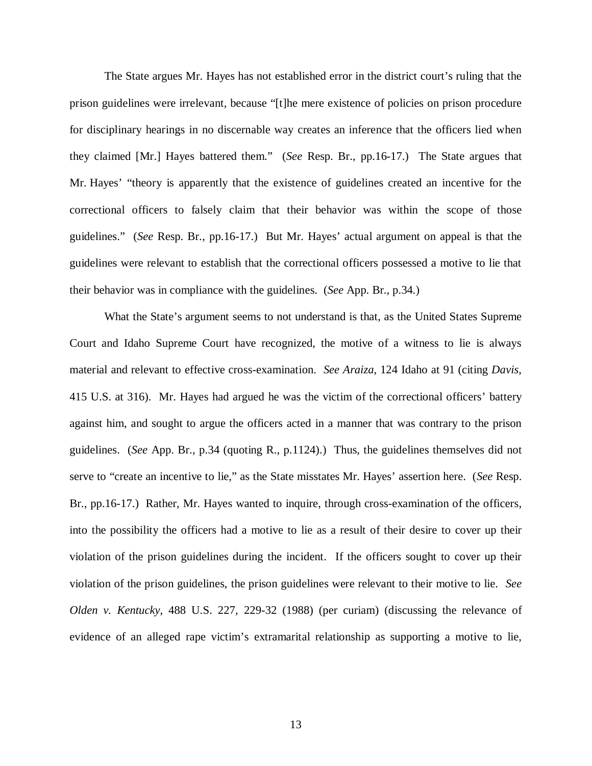The State argues Mr. Hayes has not established error in the district court's ruling that the prison guidelines were irrelevant, because "[t]he mere existence of policies on prison procedure for disciplinary hearings in no discernable way creates an inference that the officers lied when they claimed [Mr.] Hayes battered them." (*See* Resp. Br., pp.16-17.) The State argues that Mr. Hayes' "theory is apparently that the existence of guidelines created an incentive for the correctional officers to falsely claim that their behavior was within the scope of those guidelines." (*See* Resp. Br., pp.16-17.) But Mr. Hayes' actual argument on appeal is that the guidelines were relevant to establish that the correctional officers possessed a motive to lie that their behavior was in compliance with the guidelines. (*See* App. Br., p.34.)

What the State's argument seems to not understand is that, as the United States Supreme Court and Idaho Supreme Court have recognized, the motive of a witness to lie is always material and relevant to effective cross-examination. *See Araiza*, 124 Idaho at 91 (citing *Davis*, 415 U.S. at 316). Mr. Hayes had argued he was the victim of the correctional officers' battery against him, and sought to argue the officers acted in a manner that was contrary to the prison guidelines. (*See* App. Br., p.34 (quoting R., p.1124).) Thus, the guidelines themselves did not serve to "create an incentive to lie," as the State misstates Mr. Hayes' assertion here. (*See* Resp. Br., pp.16-17.) Rather, Mr. Hayes wanted to inquire, through cross-examination of the officers, into the possibility the officers had a motive to lie as a result of their desire to cover up their violation of the prison guidelines during the incident. If the officers sought to cover up their violation of the prison guidelines, the prison guidelines were relevant to their motive to lie. *See Olden v. Kentucky*, 488 U.S. 227, 229-32 (1988) (per curiam) (discussing the relevance of evidence of an alleged rape victim's extramarital relationship as supporting a motive to lie,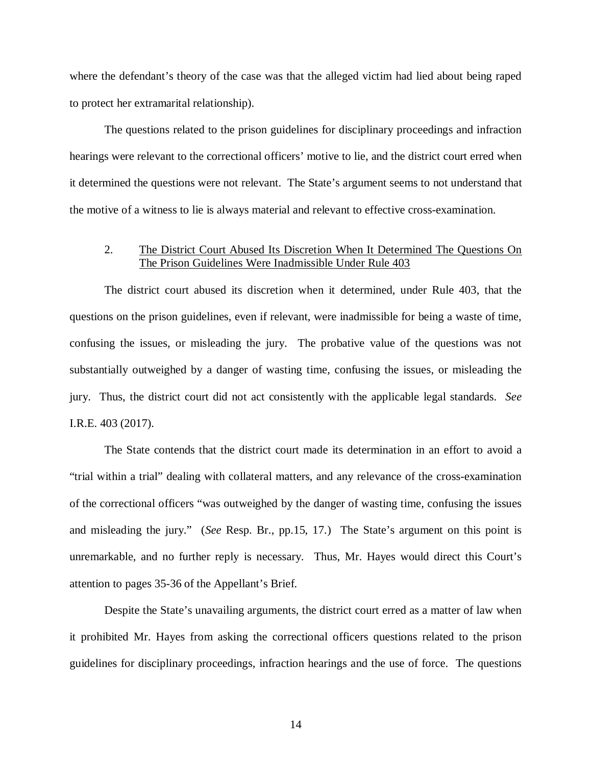where the defendant's theory of the case was that the alleged victim had lied about being raped to protect her extramarital relationship).

The questions related to the prison guidelines for disciplinary proceedings and infraction hearings were relevant to the correctional officers' motive to lie, and the district court erred when it determined the questions were not relevant. The State's argument seems to not understand that the motive of a witness to lie is always material and relevant to effective cross-examination.

## 2. The District Court Abused Its Discretion When It Determined The Questions On The Prison Guidelines Were Inadmissible Under Rule 403

The district court abused its discretion when it determined, under Rule 403, that the questions on the prison guidelines, even if relevant, were inadmissible for being a waste of time, confusing the issues, or misleading the jury. The probative value of the questions was not substantially outweighed by a danger of wasting time, confusing the issues, or misleading the jury. Thus, the district court did not act consistently with the applicable legal standards. *See* I.R.E. 403 (2017).

The State contends that the district court made its determination in an effort to avoid a "trial within a trial" dealing with collateral matters, and any relevance of the cross-examination of the correctional officers "was outweighed by the danger of wasting time, confusing the issues and misleading the jury." (*See* Resp. Br., pp.15, 17.) The State's argument on this point is unremarkable, and no further reply is necessary. Thus, Mr. Hayes would direct this Court's attention to pages 35-36 of the Appellant's Brief.

Despite the State's unavailing arguments, the district court erred as a matter of law when it prohibited Mr. Hayes from asking the correctional officers questions related to the prison guidelines for disciplinary proceedings, infraction hearings and the use of force. The questions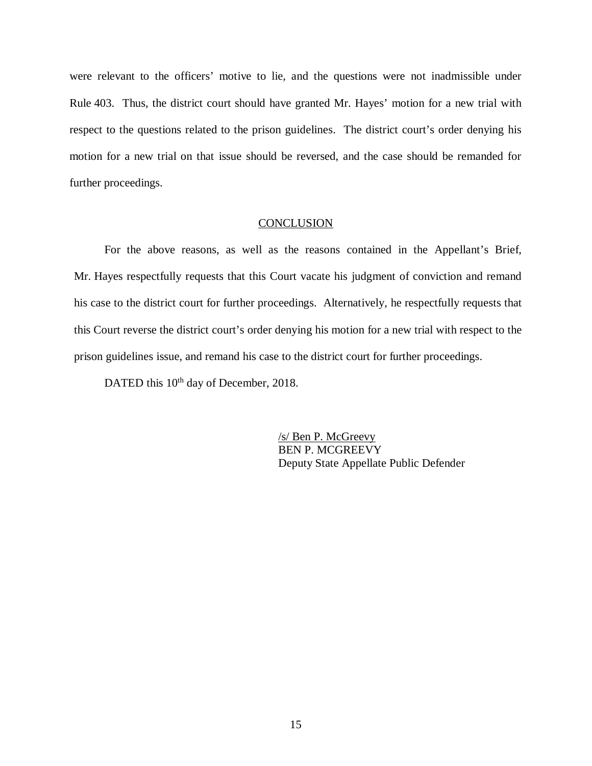were relevant to the officers' motive to lie, and the questions were not inadmissible under Rule 403. Thus, the district court should have granted Mr. Hayes' motion for a new trial with respect to the questions related to the prison guidelines. The district court's order denying his motion for a new trial on that issue should be reversed, and the case should be remanded for further proceedings.

## **CONCLUSION**

For the above reasons, as well as the reasons contained in the Appellant's Brief, Mr. Hayes respectfully requests that this Court vacate his judgment of conviction and remand his case to the district court for further proceedings. Alternatively, he respectfully requests that this Court reverse the district court's order denying his motion for a new trial with respect to the prison guidelines issue, and remand his case to the district court for further proceedings.

DATED this 10<sup>th</sup> day of December, 2018.

/s/ Ben P. McGreevy BEN P. MCGREEVY Deputy State Appellate Public Defender